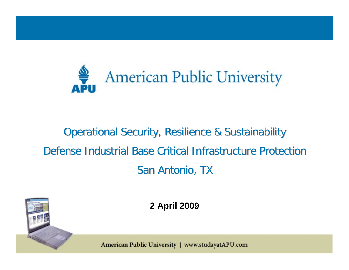

## Operational Security, Resilience & Sustainability Defense Industrial Base Critical Infrastructure Protection San Antonio, TX



**2 April 2009**

American Public University | www.studayatAPU.com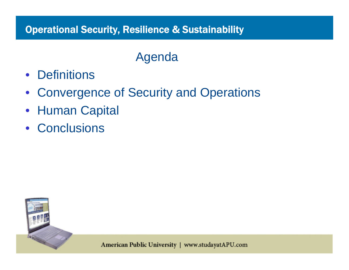## Agenda

- Definitions
- $\bullet$ Convergence of Security and Operations
- $\bullet$ Human Capital
- Conclusions

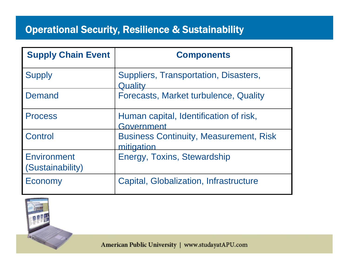| <b>Supply Chain Event</b>              | <b>Components</b>                                           |
|----------------------------------------|-------------------------------------------------------------|
| <b>Supply</b>                          | Suppliers, Transportation, Disasters,<br>Quality            |
| <b>Demand</b>                          | Forecasts, Market turbulence, Quality                       |
| <b>Process</b>                         | Human capital, Identification of risk,<br>Government        |
| Control                                | <b>Business Continuity, Measurement, Risk</b><br>mitigation |
| Environment<br><i>(Sustainability)</i> | Energy, Toxins, Stewardship                                 |
| Economy                                | <b>Capital, Globalization, Infrastructure</b>               |



American Public University | www.studayatAPU.com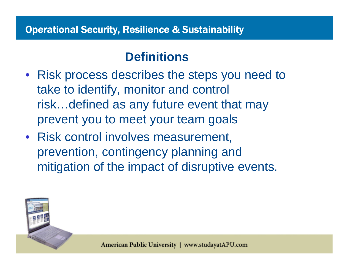#### **Definitions**

- Risk process describes the steps you need to take to identify, monitor and control risk…defined as any future event that may prevent you to meet your team goals
- Risk control involves measurement, prevention, contingency planning and mitigation of the impact of disruptive events.

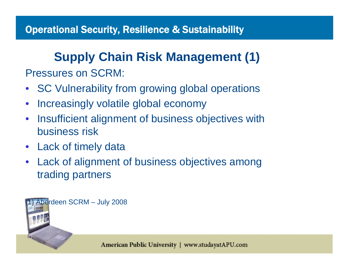# **Supply Chain Risk Management (1)**

Pressures on SCRM:

- $\bullet$ SC Vulnerability from growing global operations
- $\bullet$ Increasingly volatile global economy
- $\bullet$  Insufficient alignment of business objectives with business risk
- Lack of timely data
- • Lack of alignment of business objectives among trading partners

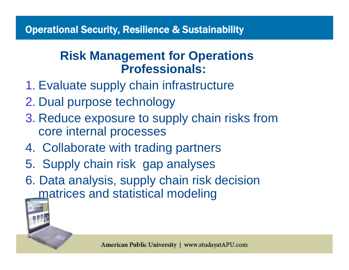## **Risk Management for Operations Professionals:**

- 1. Evaluate supply chain infrastructure
- 2. Dual purpose technology
- 3. Reduce exposure to supply chain risks from core internal processes
- 4. Collaborate with trading partners
- 5. Supply chain risk gap analyses
- 6. Data analysis, supply chain risk decision matrices and statistical modeling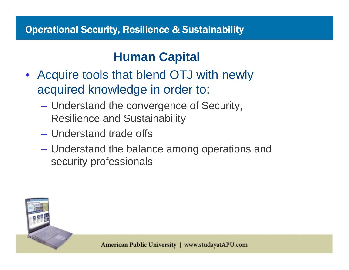## **Human Capital**

- Acquire tools that blend OTJ with newly acquired knowledge in order to:
	- $\mathcal{L}_{\mathcal{A}}$  , and the set of  $\mathcal{L}_{\mathcal{A}}$  Understand the convergence of Security, Resilience and Sustainability
	- Understand trade offs
	- $\mathcal{L}_{\mathcal{A}}$  Understand the balance among operations and security professionals

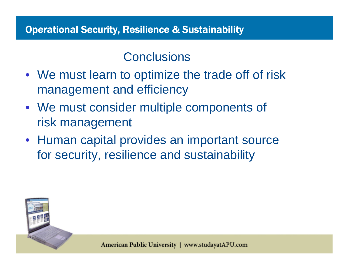### **Conclusions**

- We must learn to optimize the trade off of risk management and efficiency
- We must consider multiple components of risk management
- Human capital provides an important source for security, resilience and sustainability